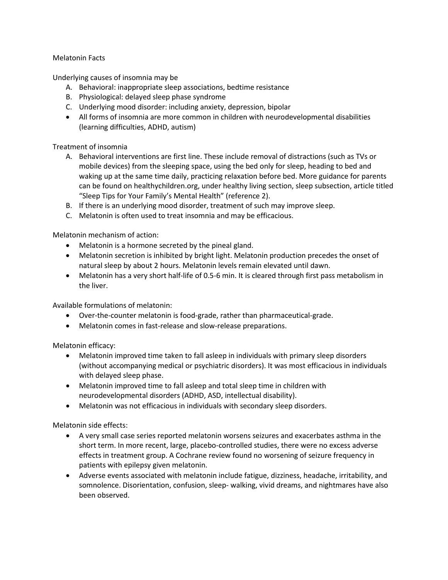## Melatonin Facts

Underlying causes of insomnia may be

- A. Behavioral: inappropriate sleep associations, bedtime resistance
- B. Physiological: delayed sleep phase syndrome
- C. Underlying mood disorder: including anxiety, depression, bipolar
- All forms of insomnia are more common in children with neurodevelopmental disabilities (learning difficulties, ADHD, autism)

Treatment of insomnia

- A. Behavioral interventions are first line. These include removal of distractions (such as TVs or mobile devices) from the sleeping space, using the bed only for sleep, heading to bed and waking up at the same time daily, practicing relaxation before bed. More guidance for parents can be found on healthychildren.org, under healthy living section, sleep subsection, article titled "Sleep Tips for Your Family's Mental Health" (reference 2).
- B. If there is an underlying mood disorder, treatment of such may improve sleep.
- C. Melatonin is often used to treat insomnia and may be efficacious.

Melatonin mechanism of action:

- Melatonin is a hormone secreted by the pineal gland.
- Melatonin secretion is inhibited by bright light. Melatonin production precedes the onset of natural sleep by about 2 hours. Melatonin levels remain elevated until dawn.
- Melatonin has a very short half-life of 0.5-6 min. It is cleared through first pass metabolism in the liver.

Available formulations of melatonin:

- Over-the-counter melatonin is food-grade, rather than pharmaceutical-grade.
- Melatonin comes in fast-release and slow-release preparations.

Melatonin efficacy:

- Melatonin improved time taken to fall asleep in individuals with primary sleep disorders (without accompanying medical or psychiatric disorders). It was most efficacious in individuals with delayed sleep phase.
- Melatonin improved time to fall asleep and total sleep time in children with neurodevelopmental disorders (ADHD, ASD, intellectual disability).
- Melatonin was not efficacious in individuals with secondary sleep disorders.

Melatonin side effects:

- A very small case series reported melatonin worsens seizures and exacerbates asthma in the short term. In more recent, large, placebo-controlled studies, there were no excess adverse effects in treatment group. A Cochrane review found no worsening of seizure frequency in patients with epilepsy given melatonin.
- Adverse events associated with melatonin include fatigue, dizziness, headache, irritability, and somnolence. Disorientation, confusion, sleep- walking, vivid dreams, and nightmares have also been observed.